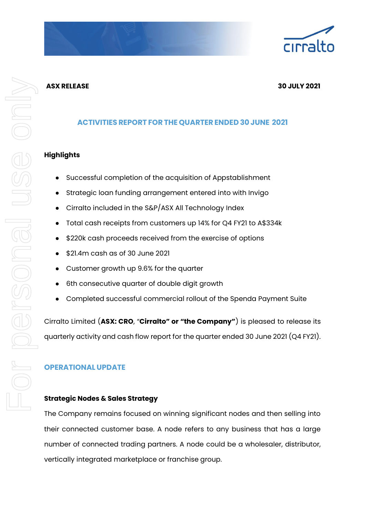# **ASX RELEASE 30 JULY 2021**

# **ACTIVITIES REPORT FOR THE QUARTER ENDED 30JUNE 2021**

# **Highlights**

- Successful completion of the acquisition of Appstablishment
- Strategic loan funding arrangement entered into with Invigo
- Cirralto included in the S&P/ASX All Technology Index
- Total cash receipts from customers up 14% for Q4 FY21 to A\$334k
- \$220k cash proceeds received from the exercise of options
- \$21.4m cash as of 30 June 2021
- Customer growth up 9.6% for the quarter
- 6th consecutive quarter of double digit growth
- Completed successful commercial rollout of the Spenda Payment Suite

Cirralto Limited (**ASX: CRO**, "**Cirralto" or "the Company"**) is pleased to release its quarterly activity and cash flow report for the quarter ended 30 June 2021 (Q4 FY21).

# **OPERATIONAL UPDATE**

# **Strategic Nodes & Sales Strategy**

The Company remains focused on winning significant nodes and then selling into their connected customer base. A node refers to any business that has a large number of connected trading partners. A node could be a wholesaler, distributor, vertically integrated marketplace or franchise group.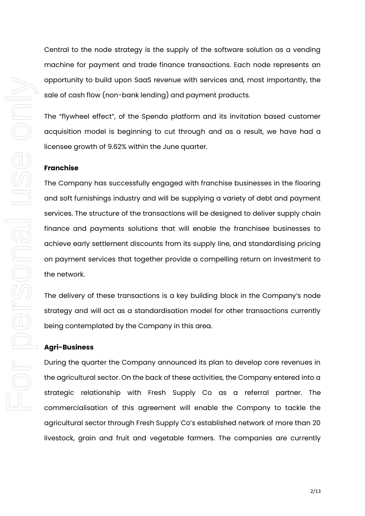Central to the node strategy is the supply of the software solution as a vending machine for payment and trade finance transactions. Each node represents an opportunity to build upon SaaS revenue with services and, most importantly, the sale of cash flow (non-bank lending) and payment products.

The "flywheel effect", of the Spenda platform and its invitation based customer acquisition model is beginning to cut through and as a result, we have had a licensee growth of 9.62% within the June quarter.

#### **Franchise**

The Company has successfully engaged with franchise businesses in the flooring and soft furnishings industry and will be supplying a variety of debt and payment services. The structure of the transactions will be designed to deliver supply chain finance and payments solutions that will enable the franchisee businesses to achieve early settlement discounts from its supply line, and standardising pricing on payment services that together provide a compelling return on investment to the network.

The delivery of these transactions is a key building block in the Company's node strategy and will act as a standardisation model for other transactions currently being contemplated by the Company in this area.

## **Agri-Business**

During the quarter the Company announced its plan to develop core revenues in the agricultural sector. On the back of these activities, the Company entered into a strategic relationship with Fresh Supply Co as a referral partner. The commercialisation of this agreement will enable the Company to tackle the agricultural sector through Fresh Supply Co's established network of more than 20 livestock, grain and fruit and vegetable farmers. The companies are currently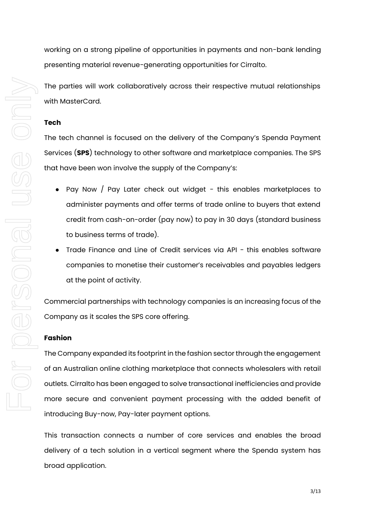working on a strong pipeline of opportunities in payments and non-bank lending presenting material revenue-generating opportunities for Cirralto.

The parties will work collaboratively across their respective mutual relationships with MasterCard.

#### **Tech**

The tech channel is focused on the delivery of the Company's Spenda Payment Services (**SPS**) technology to other software and marketplace companies. The SPS that have been won involve the supply of the Company's:

- Pay Now / Pay Later check out widget this enables marketplaces to administer payments and offer terms of trade online to buyers that extend credit from cash-on-order (pay now) to pay in 30 days (standard business to business terms of trade).
- Trade Finance and Line of Credit services via API this enables software companies to monetise their customer's receivables and payables ledgers at the point of activity.

Commercial partnerships with technology companies is an increasing focus of the Company as it scales the SPS core offering.

#### **Fashion**

The Company expanded its footprint in the fashion sector through the engagement of an Australian online clothing marketplace that connects wholesalers with retail outlets. Cirralto has been engaged to solve transactional inefficiencies and provide more secure and convenient payment processing with the added benefit of introducing Buy-now, Pay-later payment options.

This transaction connects a number of core services and enables the broad delivery of a tech solution in a vertical segment where the Spenda system has broad application.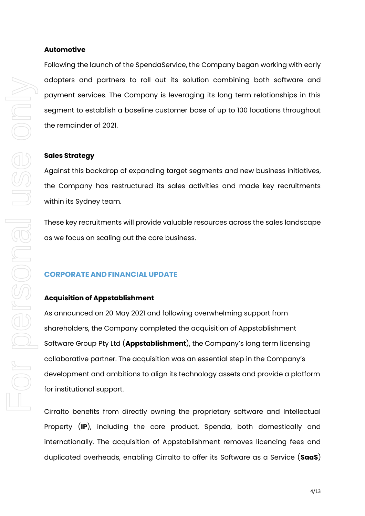## **Automotive**

Following the launch of the SpendaService, the Company began working with early adopters and partners to roll out its solution combining both software and payment services. The Company is leveraging its long term relationships in this segment to establish a baseline customer base of up to 100 locations throughout the remainder of 2021.

#### **Sales Strategy**

Against this backdrop of expanding target segments and new business initiatives, the Company has restructured its sales activities and made key recruitments within its Sydney team.

These key recruitments will provide valuable resources across the sales landscape as we focus on scaling out the core business.

# **CORPORATE AND FINANCIAL UPDATE**

#### **Acquisition of Appstablishment**

As announced on 20 May 2021 and following overwhelming support from shareholders, the Company completed the acquisition of Appstablishment Software Group Pty Ltd (**Appstablishment**), the Company's long term licensing collaborative partner. The acquisition was an essential step in the Company's development and ambitions to align its technology assets and provide a platform for institutional support.

Cirralto benefits from directly owning the proprietary software and Intellectual Property (**IP**), including the core product, Spenda, both domestically and internationally. The acquisition of Appstablishment removes licencing fees and duplicated overheads, enabling Cirralto to offer its Software as a Service (**SaaS**)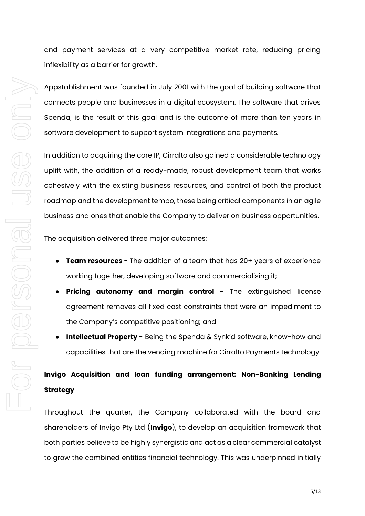For personal use only For personel use onni

and payment services at a very competitive market rate, reducing pricing inflexibility as a barrier for growth.

Appstablishment was founded in July 2001 with the goal of building software that connects people and businesses in a digital ecosystem. The software that drives Spenda, is the result of this goal and is the outcome of more than ten years in software development to support system integrations and payments.

In addition to acquiring the core IP, Cirralto also gained a considerable technology uplift with, the addition of a ready-made, robust development team that works cohesively with the existing business resources, and control of both the product roadmap and the development tempo, these being critical components in an agile business and ones that enable the Company to deliver on business opportunities.

The acquisition delivered three major outcomes:

- **Team resources -** The addition of a team that has 20+ years of experience working together, developing software and commercialising it;
- **Pricing autonomy and margin control -** The extinguished license agreement removes all fixed cost constraints that were an impediment to the Company's competitive positioning; and
- **Intellectual Property -** Being the Spenda & Synk'd software, know-how and capabilities that are the vending machine for Cirralto Payments technology.

# **Invigo Acquisition and loan funding arrangement: Non-Banking Lending Strategy**

Throughout the quarter, the Company collaborated with the board and shareholders of Invigo Pty Ltd (**Invigo**), to develop an acquisition framework that both parties believe to be highly synergistic and act as a clear commercial catalyst to grow the combined entities financial technology. This was underpinned initially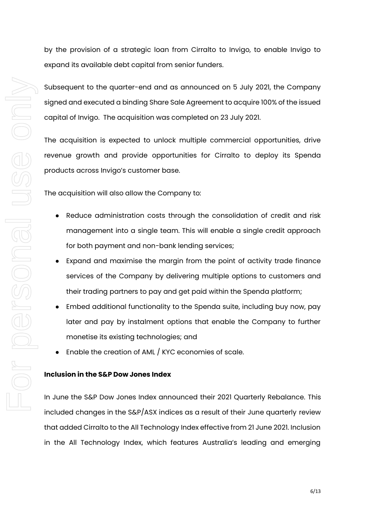by the provision of a strategic loan from Cirralto to Invigo, to enable Invigo to expand its available debt capital from senior funders.

Subsequent to the quarter-end and as announced on 5 July 2021, the Company signed and executed a binding Share Sale Agreement to acquire 100% of the issued capital of Invigo. The acquisition was completed on 23 July 2021.

The acquisition is expected to unlock multiple commercial opportunities, drive revenue growth and provide opportunities for Cirralto to deploy its Spenda products across Invigo's customer base.

The acquisition will also allow the Company to:

- Reduce administration costs through the consolidation of credit and risk management into a single team. This will enable a single credit approach for both payment and non-bank lending services;
- Expand and maximise the margin from the point of activity trade finance services of the Company by delivering multiple options to customers and their trading partners to pay and get paid within the Spenda platform;
- Embed additional functionality to the Spenda suite, including buy now, pay later and pay by instalment options that enable the Company to further monetise its existing technologies; and
- Enable the creation of AML / KYC economies of scale.

## **Inclusion in the S&P Dow Jones Index**

In June the S&P Dow Jones Index announced their 2021 Quarterly Rebalance. This included changes in the S&P/ASX indices as a result of their June quarterly review that added Cirralto to the All Technology Index effective from 21 June 2021. Inclusion in the All Technology Index, which features Australia's leading and emerging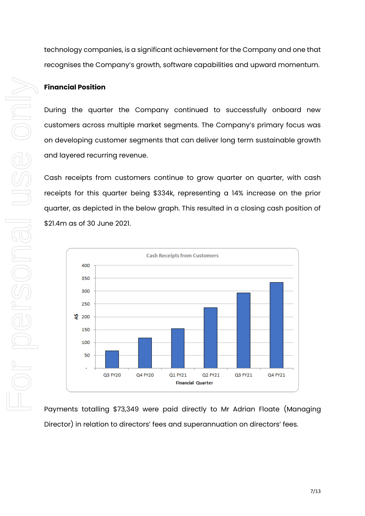technology companies, is a significant achievement for the Company and one that recognises the Company's growth, software capabilities and upward momentum.

## **Financial Position**

During the quarter the Company continued to successfully onboard new customers across multiple market segments. The Company's primary focus was on developing customer segments that can deliver long term sustainable growth and layered recurring revenue.

Cash receipts from customers continue to grow quarter on quarter, with cash receipts for this quarter being \$334k, representing a 14% increase on the prior quarter, as depicted in the below graph. This resulted in a closing cash position of \$21.4m as of 30 June 2021.



Payments totalling \$73,349 were paid directly to Mr Adrian Floate (Managing Director) in relation to directors' fees and superannuation on directors' fees.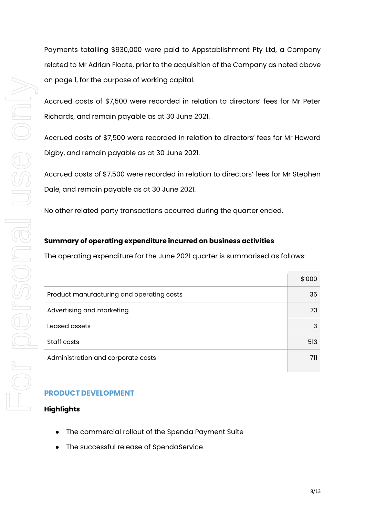Payments totalling \$930,000 were paid to Appstablishment Pty Ltd, a Company related to Mr Adrian Floate, prior to the acquisition of the Company as noted above on page 1, for the purpose of working capital.

Accrued costs of \$7,500 were recorded in relation to directors' fees for Mr Peter Richards, and remain payable as at 30 June 2021.

Accrued costs of \$7,500 were recorded in relation to directors' fees for Mr Howard Digby, and remain payable as at 30 June 2021.

Accrued costs of \$7,500 were recorded in relation to directors' fees for Mr Stephen Dale, and remain payable as at 30 June 2021.

No other related party transactions occurred during the quarter ended.

## **Summary of operating expenditure incurred on business activities**

The operating expenditure for the June 2021 quarter is summarised as follows:

|                                           | \$'000 |
|-------------------------------------------|--------|
| Product manufacturing and operating costs | 35     |
| Advertising and marketing                 | 73     |
| Leased assets                             | 3      |
| Staff costs                               | 513    |
| Administration and corporate costs        | 711    |
|                                           |        |

# **PRODUCT DEVELOPMENT**

# **Highlights**

- The commercial rollout of the Spenda Payment Suite
- The successful release of SpendaService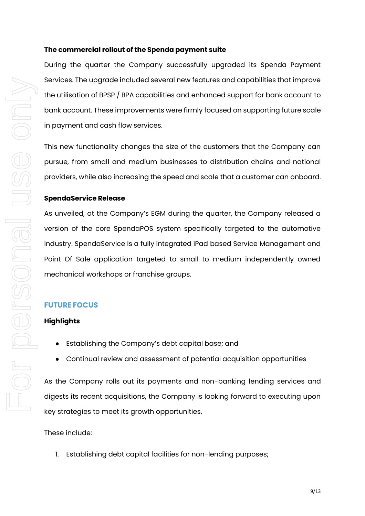#### **The commercial rollout of the Spenda payment suite**

During the quarter the Company successfully upgraded its Spenda Payment Services. The upgrade included several new features and capabilities that improve the utilisation of BPSP / BPA capabilities and enhanced support for bank account to bank account. These improvements were firmly focused on supporting future scale in payment and cash flow services.

This new functionality changes the size of the customers that the Company can pursue, from small and medium businesses to distribution chains and national providers, while also increasing the speed and scale that a customer can onboard.

#### **SpendaService Release**

As unveiled, at the Company's EGM during the quarter, the Company released a version of the core SpendaPOS system specifically targeted to the automotive industry. SpendaService is a fully integrated iPad based Service Management and Point Of Sale application targeted to small to medium independently owned mechanical workshops or franchise groups.

## **FUTURE FOCUS**

## **Highlights**

- Establishing the Company's debt capital base; and
- Continual review and assessment of potential acquisition opportunities

As the Company rolls out its payments and non-banking lending services and digests its recent acquisitions, the Company is looking forward to executing upon key strategies to meet its growth opportunities.

These include:

1. Establishing debt capital facilities for non-lending purposes;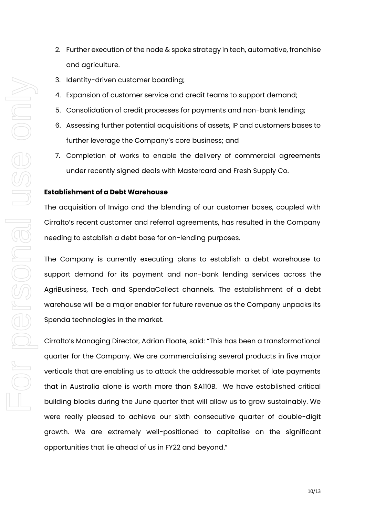- 2. Further execution of the node & spoke strategy in tech, automotive, franchise and agriculture.
- 3. Identity-driven customer boarding;
- 4. Expansion of customer service and credit teams to support demand;
- 5. Consolidation of credit processes for payments and non-bank lending;
- 6. Assessing further potential acquisitions of assets, IP and customers bases to further leverage the Company's core business; and
- 7. Completion of works to enable the delivery of commercial agreements under recently signed deals with Mastercard and Fresh Supply Co.

#### **Establishment of a Debt Warehouse**

The acquisition of Invigo and the blending of our customer bases, coupled with Cirralto's recent customer and referral agreements, has resulted in the Company needing to establish a debt base for on-lending purposes.

The Company is currently executing plans to establish a debt warehouse to support demand for its payment and non-bank lending services across the AgriBusiness, Tech and SpendaCollect channels. The establishment of a debt warehouse will be a major enabler for future revenue as the Company unpacks its Spenda technologies in the market.

Cirralto's Managing Director, Adrian Floate, said: "This has been a transformational quarter for the Company. We are commercialising several products in five major verticals that are enabling us to attack the addressable market of late payments that in Australia alone is worth more than \$A110B. We have established critical building blocks during the June quarter that will allow us to grow sustainably. We were really pleased to achieve our sixth consecutive quarter of double-digit growth. We are extremely well-positioned to capitalise on the significant opportunities that lie ahead of us in FY22 and beyond."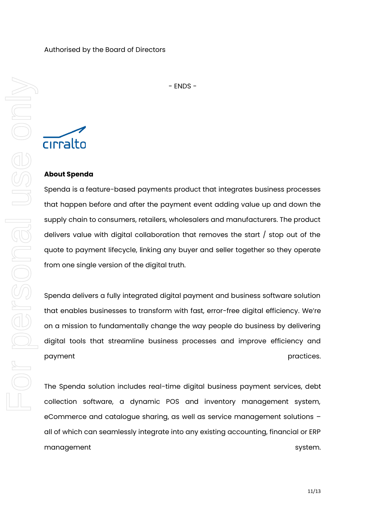- ENDS -

cirralto

# **About Spenda**

Spenda is a feature-based payments product that integrates business processes that happen before and after the payment event adding value up and down the supply chain to consumers, retailers, wholesalers and manufacturers. The product delivers value with digital collaboration that removes the start / stop out of the quote to payment lifecycle, linking any buyer and seller together so they operate from one single version of the digital truth.

Spenda delivers a fully integrated digital payment and business software solution that enables businesses to transform with fast, error-free digital efficiency. We're on a mission to fundamentally change the way people do business by delivering digital tools that streamline business processes and improve efficiency and payment **payment provides provided payment provided provided provided provided provided provided provided provided provided provided provided provided provided provided provided provid** 

The Spenda solution includes real-time digital business payment services, debt collection software, a dynamic POS and inventory management system, eCommerce and catalogue sharing, as well as service management solutions – all of which can seamlessly integrate into any existing accounting, financial or ERP management system.

11/13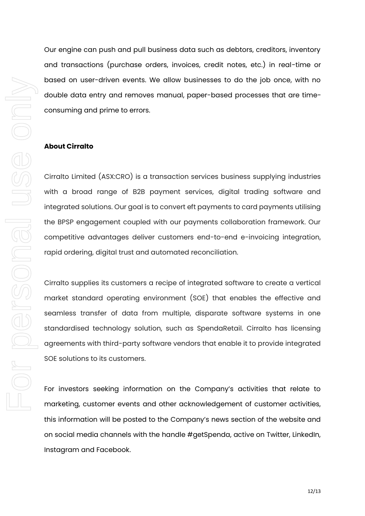Our engine can push and pull business data such as debtors, creditors, inventory and transactions (purchase orders, invoices, credit notes, etc.) in real-time or based on user-driven events. We allow businesses to do the job once, with no double data entry and removes manual, paper-based processes that are timeconsuming and prime to errors.

#### **About Cirralto**

Cirralto Limited (ASX:CRO) is a transaction services business supplying industries with a broad range of B2B payment services, digital trading software and integrated solutions. Our goal is to convert eft payments to card payments utilising the BPSP engagement coupled with our payments collaboration framework. Our competitive advantages deliver customers end-to-end e-invoicing integration, rapid ordering, digital trust and automated reconciliation.

Cirralto supplies its customers a recipe of integrated software to create a vertical market standard operating environment (SOE) that enables the effective and seamless transfer of data from multiple, disparate software systems in one standardised technology solution, such as SpendaRetail. Cirralto has licensing agreements with third-party software vendors that enable it to provide integrated SOE solutions to its customers.

For investors seeking information on the Company's activities that relate to marketing, customer events and other acknowledgement of customer activities, this information will be posted to the Company's news section of the website and on social media channels with the handle #getSpenda, active on Twitter, LinkedIn, Instagram and Facebook.